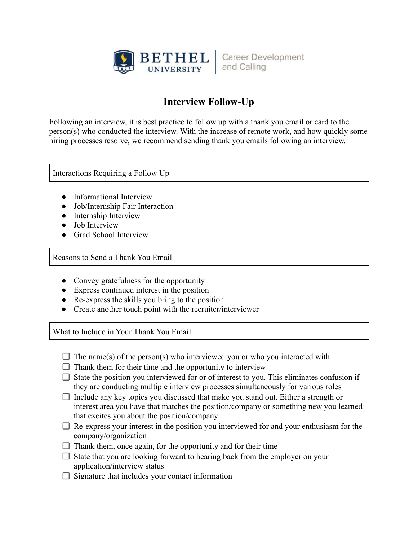

**Career Development** and Calling

## **Interview Follow-Up**

Following an interview, it is best practice to follow up with a thank you email or card to the person(s) who conducted the interview. With the increase of remote work, and how quickly some hiring processes resolve, we recommend sending thank you emails following an interview.

Interactions Requiring a Follow Up

- Informational Interview
- Job/Internship Fair Interaction
- Internship Interview
- Job Interview
- Grad School Interview

Reasons to Send a Thank You Email

- Convey gratefulness for the opportunity
- Express continued interest in the position
- Re-express the skills you bring to the position
- Create another touch point with the recruiter/interviewer

What to Include in Your Thank You Email

- $\Box$  The name(s) of the person(s) who interviewed you or who you interacted with
- $\Box$  Thank them for their time and the opportunity to interview
- $\Box$  State the position you interviewed for or of interest to you. This eliminates confusion if they are conducting multiple interview processes simultaneously for various roles
- $\Box$  Include any key topics you discussed that make you stand out. Either a strength or interest area you have that matches the position/company or something new you learned that excites you about the position/company
- $\Box$  Re-express your interest in the position you interviewed for and your enthusiasm for the company/organization
- $\Box$  Thank them, once again, for the opportunity and for their time
- $\Box$  State that you are looking forward to hearing back from the employer on your application/interview status
- $\Box$  Signature that includes your contact information